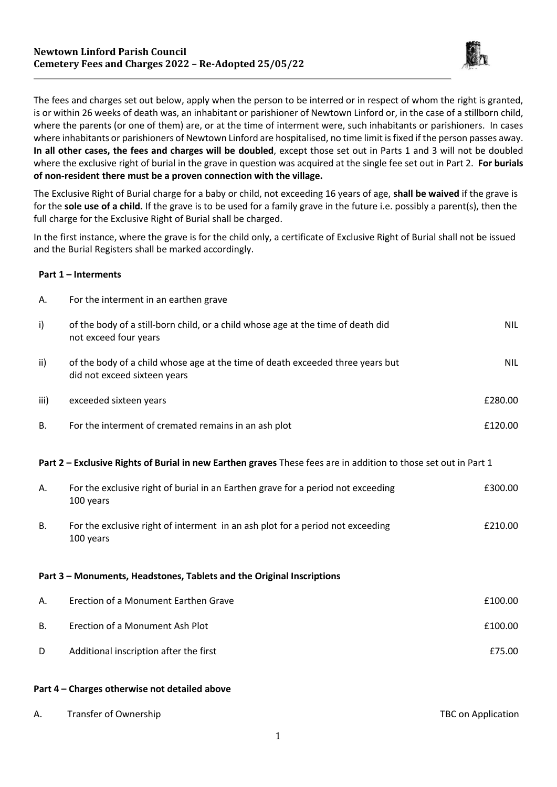

The fees and charges set out below, apply when the person to be interred or in respect of whom the right is granted, is or within 26 weeks of death was, an inhabitant or parishioner of Newtown Linford or, in the case of a stillborn child, where the parents (or one of them) are, or at the time of interment were, such inhabitants or parishioners. In cases where inhabitants or parishioners of Newtown Linford are hospitalised, no time limit is fixed if the person passes away. **In all other cases, the fees and charges will be doubled**, except those set out in Parts 1 and 3 will not be doubled where the exclusive right of burial in the grave in question was acquired at the single fee set out in Part 2. **For burials of non-resident there must be a proven connection with the village.**

The Exclusive Right of Burial charge for a baby or child, not exceeding 16 years of age, **shall be waived** if the grave is for the **sole use of a child.** If the grave is to be used for a family grave in the future i.e. possibly a parent(s), then the full charge for the Exclusive Right of Burial shall be charged.

In the first instance, where the grave is for the child only, a certificate of Exclusive Right of Burial shall not be issued and the Burial Registers shall be marked accordingly.

## **Part 1 – Interments**

| Α.                                                                                                              | For the interment in an earthen grave                                                                          |            |  |  |
|-----------------------------------------------------------------------------------------------------------------|----------------------------------------------------------------------------------------------------------------|------------|--|--|
| i)                                                                                                              | of the body of a still-born child, or a child whose age at the time of death did<br>not exceed four years      | <b>NIL</b> |  |  |
| ii)                                                                                                             | of the body of a child whose age at the time of death exceeded three years but<br>did not exceed sixteen years | <b>NIL</b> |  |  |
| iii)                                                                                                            | exceeded sixteen years                                                                                         | £280.00    |  |  |
| В.                                                                                                              | For the interment of cremated remains in an ash plot                                                           | £120.00    |  |  |
| Part 2 - Exclusive Rights of Burial in new Earthen graves These fees are in addition to those set out in Part 1 |                                                                                                                |            |  |  |
| А.                                                                                                              | For the exclusive right of burial in an Earthen grave for a period not exceeding<br>100 years                  | £300.00    |  |  |
| <b>B.</b>                                                                                                       | For the exclusive right of interment in an ash plot for a period not exceeding<br>100 years                    | £210.00    |  |  |
| Part 3 - Monuments, Headstones, Tablets and the Original Inscriptions                                           |                                                                                                                |            |  |  |
| Α.                                                                                                              | Erection of a Monument Earthen Grave                                                                           | £100.00    |  |  |
| В.                                                                                                              | Erection of a Monument Ash Plot                                                                                | £100.00    |  |  |
| D                                                                                                               | Additional inscription after the first                                                                         | £75.00     |  |  |

## **Part 4 – Charges otherwise not detailed above**

| Transfer of Ownership | TBC on Application |
|-----------------------|--------------------|
|                       |                    |